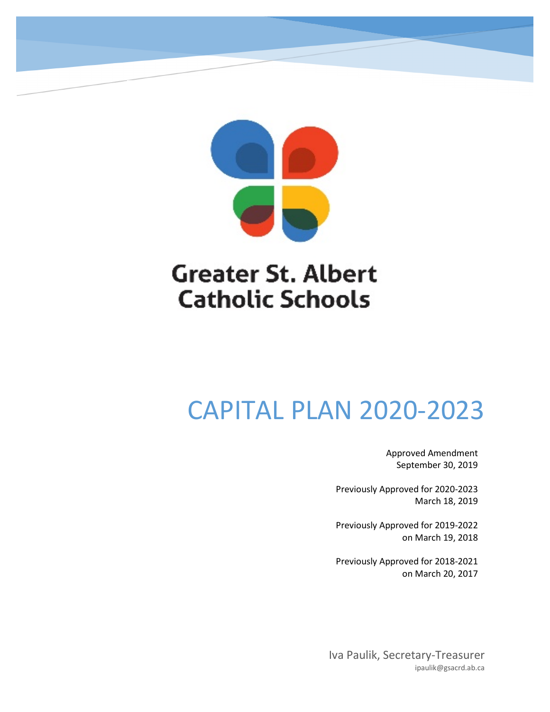

## **Greater St. Albert Catholic Schools**

# CAPITAL PLAN 2020-2023

Approved Amendment September 30, 2019

Previously Approved for 2020-2023 March 18, 2019

Previously Approved for 2019-2022 on March 19, 2018

Previously Approved for 2018-2021 on March 20, 2017

Iva Paulik, Secretary-Treasurer ipaulik@gsacrd.ab.ca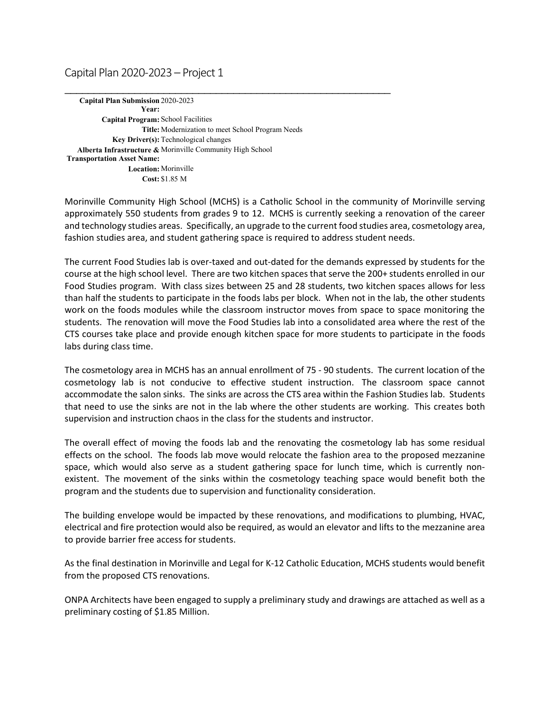### Capital Plan 2020-2023 – Project 1

**Capital Plan Submission**  2020-2023 **Year: Capital Program:** School Facilities **Title:** Modernization to meet School Program Needs **Key Driver(s):** Technological changes **Alberta Infrastructure &**  Morinville Community High School **Transportation Asset Name: Location:** Morinville **Cost:** \$1.85 M

\_\_\_\_\_\_\_\_\_\_\_\_\_\_\_\_\_\_\_\_\_\_\_\_\_\_\_\_\_\_\_\_\_\_\_\_\_\_\_\_\_\_\_\_\_\_\_\_\_\_\_\_\_\_\_\_

Morinville Community High School (MCHS) is a Catholic School in the community of Morinville serving approximately 550 students from grades 9 to 12. MCHS is currently seeking a renovation of the career and technology studies areas. Specifically, an upgrade to the current food studies area, cosmetology area, fashion studies area, and student gathering space is required to address student needs.

The current Food Studies lab is over-taxed and out-dated for the demands expressed by students for the course at the high school level. There are two kitchen spaces that serve the 200+ students enrolled in our Food Studies program. With class sizes between 25 and 28 students, two kitchen spaces allows for less than half the students to participate in the foods labs per block. When not in the lab, the other students work on the foods modules while the classroom instructor moves from space to space monitoring the students. The renovation will move the Food Studies lab into a consolidated area where the rest of the CTS courses take place and provide enough kitchen space for more students to participate in the foods labs during class time.

The cosmetology area in MCHS has an annual enrollment of 75 - 90 students. The current location of the cosmetology lab is not conducive to effective student instruction. The classroom space cannot accommodate the salon sinks. The sinks are across the CTS area within the Fashion Studies lab. Students that need to use the sinks are not in the lab where the other students are working. This creates both supervision and instruction chaos in the class for the students and instructor.

The overall effect of moving the foods lab and the renovating the cosmetology lab has some residual effects on the school. The foods lab move would relocate the fashion area to the proposed mezzanine space, which would also serve as a student gathering space for lunch time, which is currently nonexistent. The movement of the sinks within the cosmetology teaching space would benefit both the program and the students due to supervision and functionality consideration.

The building envelope would be impacted by these renovations, and modifications to plumbing, HVAC, electrical and fire protection would also be required, as would an elevator and lifts to the mezzanine area to provide barrier free access for students.

As the final destination in Morinville and Legal for K-12 Catholic Education, MCHS students would benefit from the proposed CTS renovations.

ONPA Architects have been engaged to supply a preliminary study and drawings are attached as well as a preliminary costing of \$1.85 Million.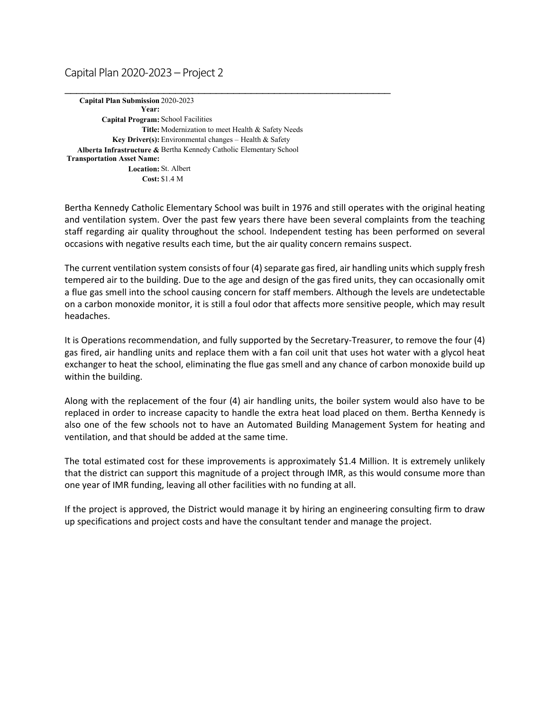#### Capital Plan 2020-2023 – Project 2

**Capital Plan Submission**  2020-2023 **Year: Capital Program:** School Facilities **Title:** Modernization to meet Health & Safety Needs **Key Driver(s):** Environmental changes – Health & Safety **Alberta Infrastructure &**  Bertha Kennedy Catholic Elementary School **Transportation Asset Name: Location:** St. Albert **Cost:** \$1.4 M

\_\_\_\_\_\_\_\_\_\_\_\_\_\_\_\_\_\_\_\_\_\_\_\_\_\_\_\_\_\_\_\_\_\_\_\_\_\_\_\_\_\_\_\_\_\_\_\_\_\_\_\_\_\_\_\_

Bertha Kennedy Catholic Elementary School was built in 1976 and still operates with the original heating and ventilation system. Over the past few years there have been several complaints from the teaching staff regarding air quality throughout the school. Independent testing has been performed on several occasions with negative results each time, but the air quality concern remains suspect.

The current ventilation system consists of four (4) separate gas fired, air handling units which supply fresh tempered air to the building. Due to the age and design of the gas fired units, they can occasionally omit a flue gas smell into the school causing concern for staff members. Although the levels are undetectable on a carbon monoxide monitor, it is still a foul odor that affects more sensitive people, which may result headaches.

It is Operations recommendation, and fully supported by the Secretary-Treasurer, to remove the four (4) gas fired, air handling units and replace them with a fan coil unit that uses hot water with a glycol heat exchanger to heat the school, eliminating the flue gas smell and any chance of carbon monoxide build up within the building.

Along with the replacement of the four (4) air handling units, the boiler system would also have to be replaced in order to increase capacity to handle the extra heat load placed on them. Bertha Kennedy is also one of the few schools not to have an Automated Building Management System for heating and ventilation, and that should be added at the same time.

The total estimated cost for these improvements is approximately \$1.4 Million. It is extremely unlikely that the district can support this magnitude of a project through IMR, as this would consume more than one year of IMR funding, leaving all other facilities with no funding at all.

If the project is approved, the District would manage it by hiring an engineering consulting firm to draw up specifications and project costs and have the consultant tender and manage the project.